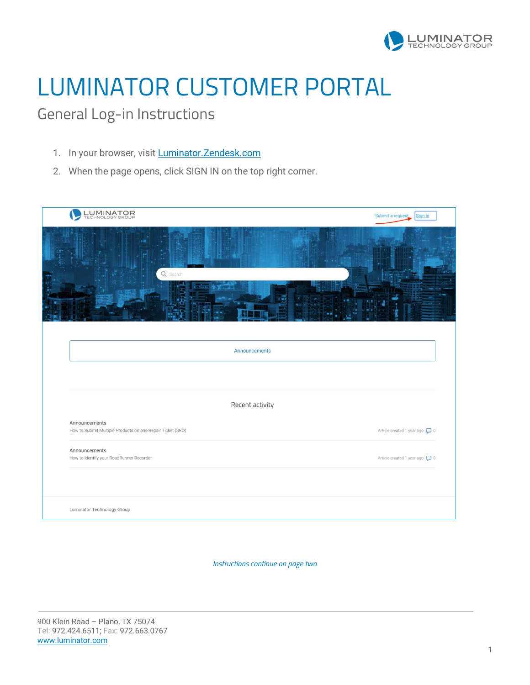

## LUMINATOR CUSTOMER PORTAL

General Log-in Instructions

- 1. In your browser, visit **Luminator. Zendesk.com**
- 2. When the page opens, click SIGN IN on the top right corner.

| LUMINATOR                                                                   | Submit a request<br>Sign in    |
|-----------------------------------------------------------------------------|--------------------------------|
| Q Search                                                                    |                                |
| Announcements                                                               |                                |
|                                                                             |                                |
| Recent activity                                                             |                                |
| Announcements<br>How to Submit Multiple Products on one Repair Ticket (SRO) | Article created 1 year ago [ 0 |
| Announcements<br>How to Identify your RoadRunner Recorder                   | Article created 1 year ago [ 0 |
| Luminator Technology Group                                                  |                                |

*Instructions continue on page two*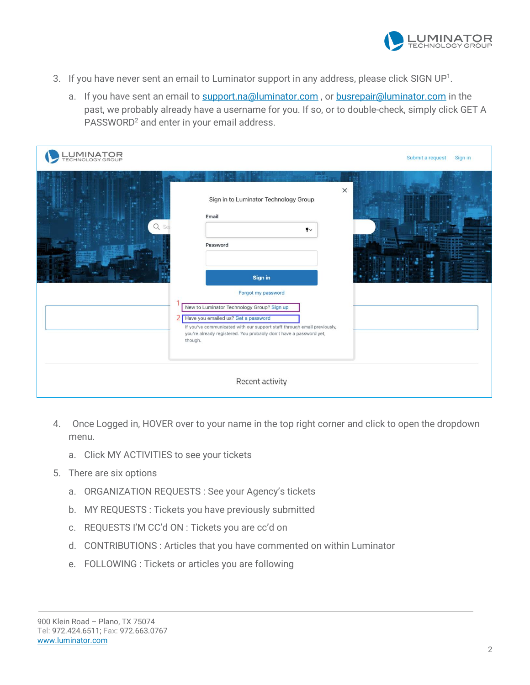

- 3. If you have never sent an email to Luminator support in any address, please click SIGN UP<sup>1</sup>.
	- a. If you have sent an email to [support.na@luminator.com](mailto:support.na@luminator.com), or [busrepair@luminator.com](mailto:busrepair@luminator.com) in the past, we probably already have a username for you. If so, or to double-check, simply click GET A PASSWORD<sup>2</sup> and enter in your email address.

| LUMINATOR<br>TECHNOLOGY GROUP |                                                                                                                                                                                                                                                                                                                                                                                   | Submit a request<br>Sign in |
|-------------------------------|-----------------------------------------------------------------------------------------------------------------------------------------------------------------------------------------------------------------------------------------------------------------------------------------------------------------------------------------------------------------------------------|-----------------------------|
| Q Sea                         | $\times$<br>Sign in to Luminator Technology Group<br>Email<br>$\mathbf{f}$<br>Password<br><b>Sign in</b><br>Forgot my password<br>New to Luminator Technology Group? Sign up<br>2 Have you emailed us? Get a password<br>If you've communicated with our support staff through email previously,<br>you're already registered. You probably don't have a password yet,<br>though. |                             |
|                               | Recent activity                                                                                                                                                                                                                                                                                                                                                                   |                             |

- 4. Once Logged in, HOVER over to your name in the top right corner and click to open the dropdown menu.
	- a. Click MY ACTIVITIES to see your tickets
- 5. There are six options
	- a. ORGANIZATION REQUESTS : See your Agency's tickets
	- b. MY REQUESTS : Tickets you have previously submitted
	- c. REQUESTS I'M CC'd ON : Tickets you are cc'd on
	- d. CONTRIBUTIONS : Articles that you have commented on within Luminator
	- e. FOLLOWING : Tickets or articles you are following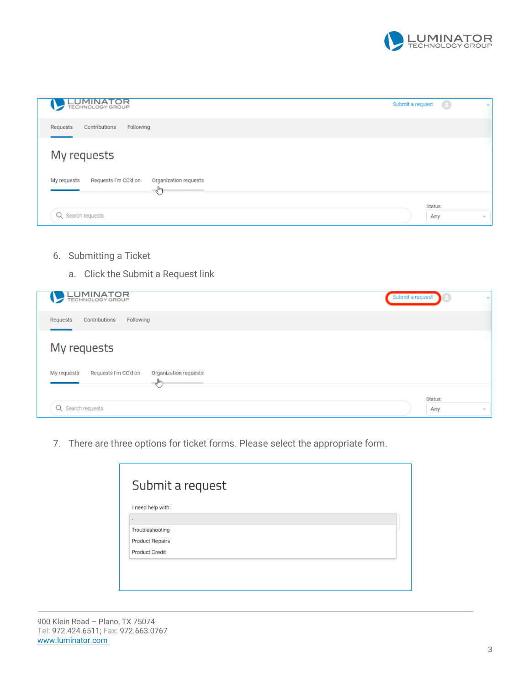

| <b>LUMINATOR</b>                                                  | Submit a request | $\Theta$<br><b>Kar</b> |
|-------------------------------------------------------------------|------------------|------------------------|
| Contributions<br>Following<br>Requests                            |                  |                        |
| My requests                                                       |                  |                        |
| Requests I'm CC'd on<br>Organization requests<br>My requests<br>₹ |                  |                        |
| Q Search requests                                                 | Status:<br>Any   | $\overline{\nabla}$    |

- 6. Submitting a Ticket
	- a. Click the Submit a Request link

| <b>LUMINATOR</b>                                                     | Submit a request                      |
|----------------------------------------------------------------------|---------------------------------------|
| Contributions<br>Requests<br>Following                               |                                       |
| My requests                                                          |                                       |
| Requests I'm CC'd on<br>Organization requests<br>My requests<br>لساك |                                       |
| Q Search requests                                                    | Status:<br>Any<br>$\overline{\nabla}$ |

7. There are three options for ticket forms. Please select the appropriate form.

| I need help with:            |  |  |
|------------------------------|--|--|
| $\qquad \qquad \blacksquare$ |  |  |
| Troubleshooting              |  |  |
| <b>Product Repairs</b>       |  |  |
| <b>Product Credit</b>        |  |  |

900 Klein Road – Plano, TX 75074 Tel: 972.424.6511; Fax: 972.663.0767 [www.luminator.com](http://www.luminator.com/)